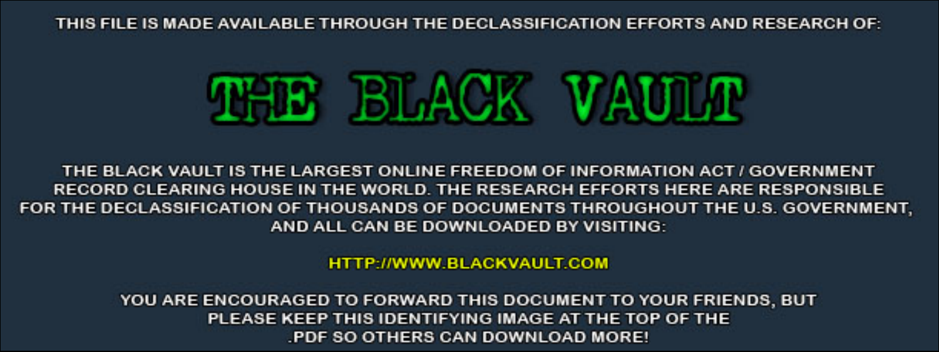THIS FILE IS MADE AVAILABLE THROUGH THE DECLASSIFICATION EFFORTS AND RESEARCH OF:



THE BLACK VAULT IS THE LARGEST ONLINE FREEDOM OF INFORMATION ACT / GOVERNMENT RECORD CLEARING HOUSE IN THE WORLD. THE RESEARCH EFFORTS HERE ARE RESPONSIBLE FOR THE DECLASSIFICATION OF THOUSANDS OF DOCUMENTS THROUGHOUT THE U.S. GOVERNMENT, AND ALL CAN BE DOWNLOADED BY VISITING:

**HTTP://WWW.BLACKVAULT.COM** 

YOU ARE ENCOURAGED TO FORWARD THIS DOCUMENT TO YOUR FRIENDS, BUT PLEASE KEEP THIS IDENTIFYING IMAGE AT THE TOP OF THE PDF SO OTHERS CAN DOWNLOAD MORE!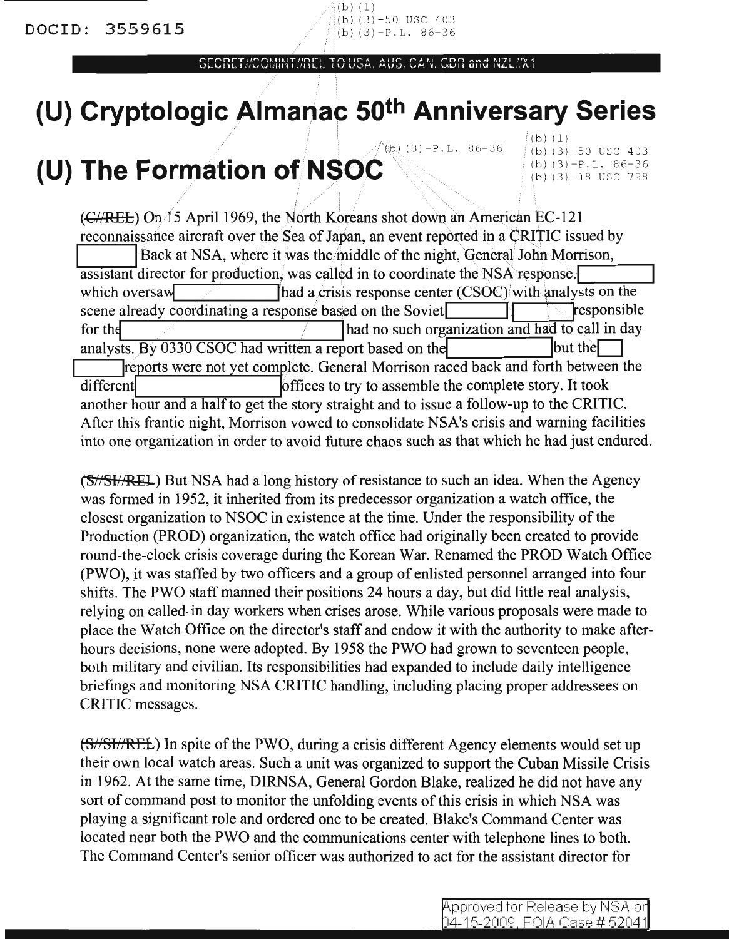OCODET BOOMBET BDCL TO HOALAHOL OAM ODD ANA NOT BVK

# **(U) Cryptologic Almanac 50th Anniversary Series**

## $(\phi)(3) - P L. 86-36$ **(U) The Formation ofN\$OiC**

 $(b)(1)$ (b) (3)-50 USC 403  $(b)$  (3)-P.L. 86-36 (b) (3)-18 USC 798

 $(\text{C/REE})$  On 15 April 1969, the North Koreans shot down an American EC-121 reconnaissance aircraft over the Sea of Japan, an event reported in a CRITIC issued by Back at NSA, where it was the middle of the night, General John Morrison, assistant director for production, was called in to coordinate the NSA response. which oversay  $\blacksquare$  /  $\blacksquare$  /  $\blacksquare$  /  $\blacksquare$  /  $\blacksquare$  and a crisis response center (CSOC) with analysts on the scene already coordinating a response based on the Soviet for the *form in the such of the such of the such organization and had to call in day* analysts. By  $0330$  CSOC had written a report based on the  $\vert$  but the  $\vert$ reports were not yet complete. General Morrison raced back and forth between the different  $\blacksquare$  for the story to assemble the complete story. It took another hour and a half to get the story straight and to issue a follow-up to the CRITIC. After this frantic night, Morrison vowed to consolidate NSA's crisis and warning facilities into one organization in order to avoid future chaos such as that which he had just endured.

(S//SI//REL) But NSA had a long history of resistance to such an idea. When the Agency was formed in 1952, it inherited from its predecessor organization a watch office, the closest organization to NSOC in existence at the time. Under the responsibility of the Production (PROD) organization, the watch office had originally been created to provide round-the-clock crisis coverage during the Korean War. Renamed the PROD Watch Office (PWO), it was staffed by two officers and a group of enlisted personnel arranged into four shifts. The PWO staff manned their positions 24 hours a day, but did little real analysis, relying on called-in day workers when crises arose. While various proposals were made to place the Watch Office on the director's staff and endow it with the authority to make afterhours decisions, none were adopted. By 1958 the PWO had grown to seventeen people, both military and civilian. Its responsibilities had expanded to include daily intelligence briefings and monitoring NSA CRITIC handling, including placing proper addressees on CRITIC messages.

(S//SI//REL) In spite of the PWO, during a crisis different Agency elements would set up their own local watch areas. Such a unit was organized to support the Cuban Missile Crisis in 1962. At the same time, DIRNSA, General Gordon Blake, realized he did not have any sort of command post to monitor the unfolding events of this crisis in which NSA was playing a significant role and ordered one to be created. Blake's Command Center was located near both the PWO and the communications center with telephone lines to both. The Command Center's senior officer was authorized to act for the assistant director for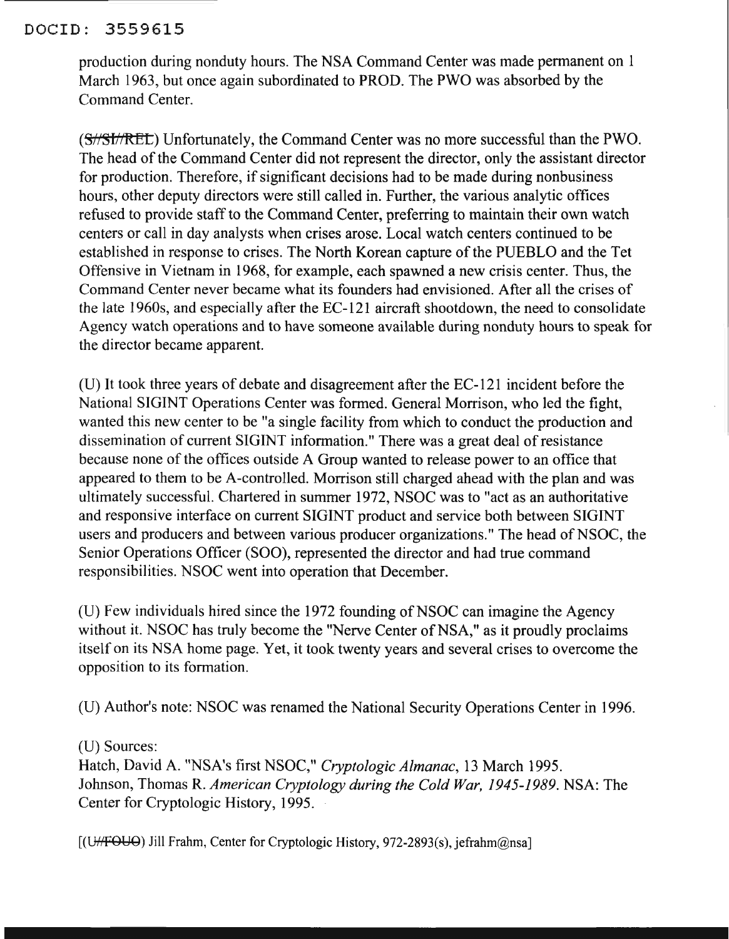#### DOCID: 3559615

production during nonduty hours. The NSA Command Center was made permanent on 1 March 1963, but once again subordinated to PROD. The PWO was absorbed by the Command Center.

(S//SI//REL) Unfortunately, the Command Center was no more successful than the PWO. The head of the Command Center did not represent the director, only the assistant director for production. Therefore, if significant decisions had to be made during nonbusiness hours, other deputy directors were still called in. Further, the various analytic offices refused to provide staff to the Command Center, preferring to maintain their own watch centers or call in day analysts when crises arose. Local watch centers continued to be established in response to crises. The North Korean capture of the PUEBLO and the Tet Offensive in Vietnam in 1968, for example, each spawned a new crisis center. Thus, the Command Center never became what its founders had envisioned. After all the crises of the late 1960s, and especially after the EC-121 aircraft shootdown, the need to consolidate Agency watch operations and to have someone available during nonduty hours to speak for the director became apparent.

(U) It took three years of debate and disagreement after the EC-121 incident before the National SIGINT Operations Center was formed. General Morrison, who led the fight, wanted this new center to be "a single facility from which to conduct the production and dissemination of current SIGINT information." There was a great deal of resistance because none of the offices outside A Group wanted to release power to an office that appeared to them to be A-controlled. Morrison still charged ahead with the plan and was ultimately successful. Chartered in summer 1972, NSOC was to "act as an authoritative and responsive interface on current SIGINT product and service both between SIGINT users and producers and between various producer organizations." The head of NSOC, the Senior Operations Officer (SOO), represented the director and had true command responsibilities. NSOC went into operation that December.

(U) Few individuals hired since the 1972 founding ofNSOC can imagine the Agency without it. NSOC has truly become the "Nerve Center of NSA," as it proudly proclaims itself on its NSA home page. Yet, it took twenty years and several crises to overcome the opposition to its formation.

(D) Author's note: NSOC was renamed the National Security Operations Center in 1996.

(U) Sources:

Hatch, David A. "NSA's first NSOC," *Cryptologic Almanac,* 13 March 1995. Johnson, Thomas R. *American Cryptology during the Cold War,* 1945-1989. NSA: The Center for Cryptologic History, 1995.

[(U<del>//FOUO</del>) Jill Frahm, Center for Cryptologic History, 972-2893(s), jefrahm@nsa]